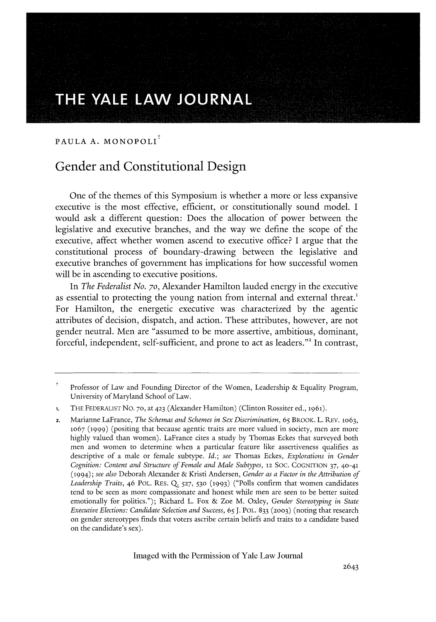PAULA A. MONOPOLI<sup>†</sup>

## Gender and Constitutional Design

One of the themes of this Symposium is whether a more or less expansive executive is the most effective, efficient, or constitutionally sound model. I would ask a different question: Does the allocation of power between the legislative and executive branches, and the way we define the scope of the executive, affect whether women ascend to executive office? I argue that the constitutional process of boundary-drawing between the legislative and executive branches of government has implications for how successful women will be in ascending to executive positions.

In *The Federalist No.* 7o, Alexander Hamilton lauded energy in the executive as essential to protecting the young nation from internal and external threat.' For Hamilton, the energetic executive was characterized by the agentic attributes of decision, dispatch, and action. These attributes, however, are not gender neutral. Men are "assumed to be more assertive, ambitious, dominant, forceful, independent, self-sufficient, and prone to act as leaders." 2 In contrast,

Professor of Law and Founding Director of the Women, Leadership & Equality Program, University of Maryland School of Law.

**<sup>1.</sup>** THE FEDERALIST No. **70,** at 423 (Alexander Hamilton) (Clinton Rossiter ed., 1961).

<sup>2.</sup> Marianne LaFrance, *The Schemas and Schemes in Sex Discrimination,* 65 BROOK. L. REv. 1o63, 1o67 **(1999)** (positing that because agentic traits are more valued in society, men are more highly valued than women). LaFrance cites a study by Thomas Eckes that surveyed both men and women to determine when a particular feature like assertiveness qualifies as descriptive of a male or female subtype. *Id.; see* Thomas Eckes, *Explorations in Gender Cognition: Content and Structure of Female and Male Subtypes,* 12 Soc. COGNITION 37, 40-41 (1994); *see also* Deborah Alexander & Kristi Andersen, *Gender as a Factor in the Attribution of Leadership Traits,* 46 POL. RES. **Q. 527, 530 (1993)** ("Polls confirm that women candidates tend to be seen as more compassionate and honest while men are seen to be better suited emotionally for politics."); Richard L. Fox & Zoe M. Oxley, *Gender Stereotyping in* State *Executive Elections: Candidate Selection and Success, 65* J. POL. 833 **(2003)** (noting that research on gender stereotypes finds that voters ascribe certain beliefs and traits to a candidate based on the candidate's sex).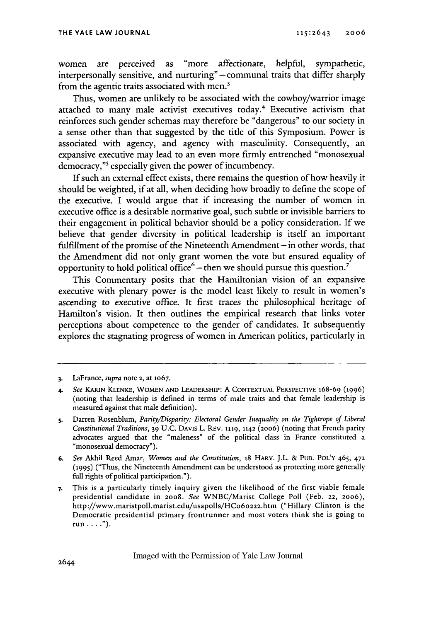women are perceived as "more affectionate, helpful, sympathetic, interpersonally sensitive, and nurturing" - communal traits that differ sharply from the agentic traits associated with **men.3**

Thus, women are unlikely to be associated with the cowboy/warrior image attached to many male activist executives today.4 Executive activism that reinforces such gender schemas may therefore be "dangerous" to our society in a sense other than that suggested by the title of this Symposium. Power is associated with agency, and agency with masculinity. Consequently, an expansive executive may lead to an even more firmly entrenched "monosexual democracy,"' especially given the power of incumbency.

If such an external effect exists, there remains the question of how heavily it should be weighted, if at all, when deciding how broadly to define the scope of the executive. I would argue that if increasing the number of women in executive office is a desirable normative goal, such subtle or invisible barriers to their engagement in political behavior should be a policy consideration. If we believe that gender diversity in political leadership is itself an important fulfillment of the promise of the Nineteenth Amendment-in other words, that the Amendment did not only grant women the vote but ensured equality of opportunity to hold political office<sup>6</sup> – then we should pursue this question.<sup>7</sup>

This Commentary posits that the Hamiltonian vision of an expansive executive with plenary power is the model least likely to result in women's ascending to executive office. It first traces the philosophical heritage of Hamilton's vision. It then outlines the empirical research that links voter perceptions about competence to the gender of candidates. It subsequently explores the stagnating progress of women in American politics, particularly in

**<sup>3.</sup>** LaFrance, *supra* note 2, at 1067.

<sup>4.</sup> *See* KARIN KLENKE, WOMEN **AND** LEADERSHIP: A **CONTEXTUAL** PERSPECTIVE **168-69 (1996)** (noting that leadership is defined in terms of male traits and that female leadership is measured against that male definition).

**<sup>5.</sup>** Darren Rosenblum, *Parity/Disparity: Electoral Gender Inequality on the Tightrope of Liberal Constitutional Traditions,* 39 U.C. DAvis L. REv. **1119, 1142** (2006) (noting that French parity advocates argued that the "maleness" of the political class in France constituted a "monosexual democracy").

**<sup>6.</sup>** *See* Akhil Reed Amar, *Women and the Constitution,* 18 I-Lv. J.L. & **PUB.** POL'Y 465, 472 **(1995)** ("Thus, the Nineteenth Amendment can be understood as protecting more generally **full** rights of political participation.").

**<sup>7.</sup>** This is a particularly timely inquiry given the likelihood of the first viable female presidential candidate in **2008.** *See* WNBC/Marist College Poll (Feb. 22, 2oo6), http://www.maristpoll.marist.edu/usapolls/HCo6o222.htm ("Hillary Clinton is the Democratic presidential primary frontrunner and most voters think she is going to run  $\dots$ .").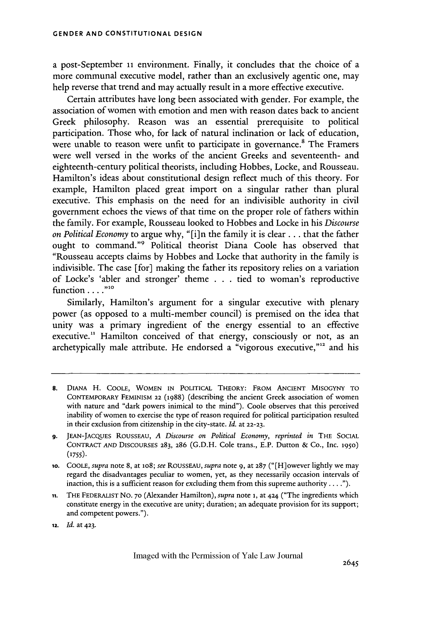a post-September **ii** environment. Finally, it concludes that the choice of a more communal executive model, rather than an exclusively agentic one, may help reverse that trend and may actually result in a more effective executive.

Certain attributes have long been associated with gender. For example, the association of women with emotion and men with reason dates back to ancient Greek philosophy. Reason was an essential prerequisite to political participation. Those who, for lack of natural inclination or lack of education, were unable to reason were unfit to participate in governance.<sup>8</sup> The Framers were well versed in the works of the ancient Greeks and seventeenth- and eighteenth-century political theorists, including Hobbes, Locke, and Rousseau. Hamilton's ideas about constitutional design reflect much of this theory. For example, Hamilton placed great import on a singular rather than plural executive. This emphasis on the need for an indivisible authority in civil government echoes the views of that time on the proper role of fathers within the family. For example, Rousseau looked to Hobbes and Locke in his *Discourse on Political Economy* to argue why, "[i]n the family it is clear . . . that the father ought to command."9 Political theorist Diana Coole has observed that "Rousseau accepts claims by Hobbes and Locke that authority in the family is indivisible. The case [for] making the father its repository relies on a variation of Locke's 'abler and stronger' theme . **. .**tied to woman's reproductive function. **..."",**

Similarly, Hamilton's argument for a singular executive with plenary power (as opposed to a multi-member council) is premised on the idea that unity was a primary ingredient of the energy essential to an effective executive.<sup>11</sup> Hamilton conceived of that energy, consciously or not, as an archetypically male attribute. He endorsed a "vigorous executive,"12 and his

- **8.** DIANA H. **COOLE,** WOMEN IN POLITICAL THEORY: FROM **ANCIENT** MISOGYNY TO CONTEMPORARY **FEMINISM** 22 (1988) (describing the ancient Greek association of women with nature and "dark powers inimical to the mind"). Coole observes that this perceived inability of women to exercise the type of reason required for political participation resulted in their exclusion from citizenship in the city-state. *Id.* at **22-23.**
- **9. JEAN-JACQUES** RoussEAu, *A Discourse* on *Political Economy, reprinted in* **THE SOCIAL CONTRACT AND** DISCOURSES **283, 286** (G.D.H. Cole trans., E.P. Dutton & Co., Inc. **1950) (1755).**

**1o. COOLE,** *supra* note 8, at 1o8; *see* RoussEAU, *supra* note 9, at **287** ("[H]owever lightly we may regard the disadvantages peculiar to women, yet, as they necessarily occasion intervals of inaction, this is a sufficient reason for excluding them from this supreme authority **....").**

**ii. THE FEDERALIST** No. **70** (Alexander Hamilton), *supra* note **I,** at 424 ("The ingredients which constitute energy in the executive are unity; duration; an adequate provision for its support; and competent powers.").

12. *Id.* at 423.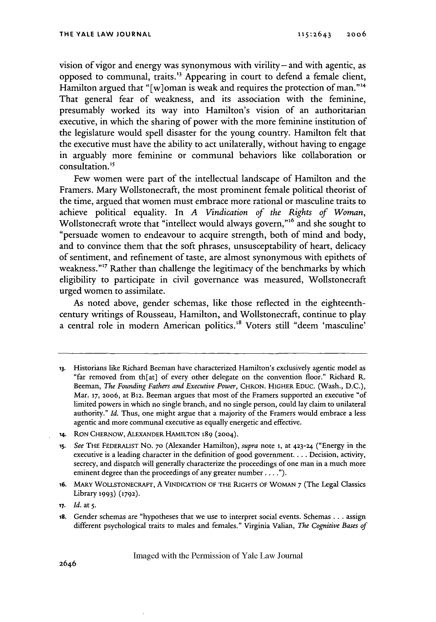vision of vigor and energy was synonymous with virility-and with agentic, as opposed to communal, traits.13 Appearing in court to defend a female client, Hamilton argued that "[w] oman is weak and requires the protection of man."<sup>14</sup> That general fear of weakness, and its association with the feminine, presumably worked its way into Hamilton's vision of an authoritarian executive, in which the sharing of power with the more feminine institution of the legislature would spell disaster for the young country. Hamilton felt that the executive must have the ability to act unilaterally, without having to engage in arguably more feminine or communal behaviors like collaboration or consultation."5

Few women were part of the intellectual landscape of Hamilton and the Framers. Mary Wollstonecraft, the most prominent female political theorist of the time, argued that women must embrace more rational or masculine traits to achieve political equality. In *A Vindication of the Rights of Woman,* Wollstonecraft wrote that "intellect would always govern,"<sup>16</sup> and she sought to "persuade women to endeavour to acquire strength, both of mind and body, and to convince them that the soft phrases, unsusceptability of heart, delicacy of sentiment, and refinement of taste, are almost synonymous with epithets of weakness."<sup>17</sup> Rather than challenge the legitimacy of the benchmarks by which eligibility to participate in civil governance was measured, Wollstonecraft urged women to assimilate.

As noted above, gender schemas, like those reflected in the eighteenthcentury writings of Rousseau, Hamilton, and Wollstonecraft, continue to play a central role in modern American politics.<sup>18</sup> Voters still "deem 'masculine'

**<sup>13.</sup>** Historians like Richard Beeman have characterized Hamilton's exclusively agentic model as "far removed from th[at] of every other delegate on the convention floor." Richard R. Beeman, *The Founding Fathers and Executive Power,* CHRON. HIGHER **EDUC.** (Wash., D.C.), Mar. **17,** 2006, at **B12.** Beeman argues that most of the Framers supported an executive "of limited powers in which no single branch, and no single person, could lay claim to unilateral authority." *Id.* Thus, one might argue that a majority of the Framers would embrace a less agentic and more communal executive as equally energetic and effective.

**<sup>14.</sup>** RON CHERNOW, ALEXANDER HAMILTON **189** (2004).

*<sup>15.</sup> See* **THE** FEDERALIST **NO. 70** (Alexander Hamilton), *supra* note **1,** at 423-24 ("Energy in the executive is a leading character in the definition of good government.... Decision, activity, secrecy, and dispatch will generally characterize the proceedings of one man in a much more eminent degree than the proceedings of any greater number .... **").**

**<sup>16.</sup>** MARY WOLLSTONECRAFT, A **VINDICATION** OF **THE** RIGHTS OF WOMAN 7 (The Legal Classics Library **1993) (1792).**

**<sup>17.</sup>** *Id.* at *5.*

**<sup>18.</sup>** Gender schemas are "hypotheses that we use to interpret social events. Schemas **...** assign different psychological traits to males and females." Virginia Valian, *The Cognitive Bases of*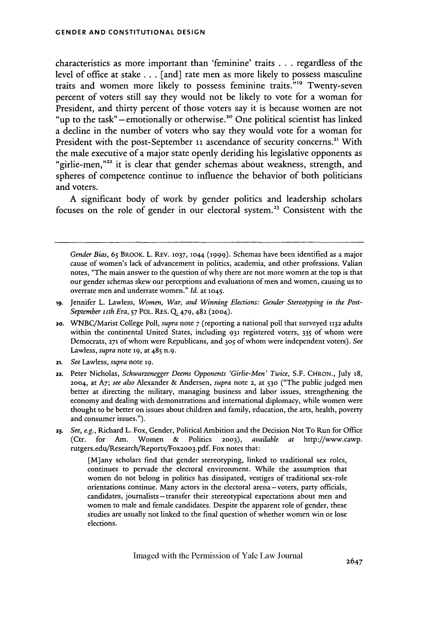characteristics as more important than 'feminine' traits  $\ldots$  regardless of the level of office at stake... [and] rate men as more likely to possess masculine traits and women more likely to possess feminine traits."<sup>19</sup> Twenty-seven percent of voters still say they would not be likely to vote for a woman for President, and thirty percent of those voters say it is because women are not "up to the task" – emotionally or otherwise.<sup>20</sup> One political scientist has linked a decline in the number of voters who say they would vote for a woman for President with the post-September 11 ascendance of security concerns.<sup>21</sup> With the male executive of a major state openly deriding his legislative opponents as "girlie-men,"<sup>22</sup> it is clear that gender schemas about weakness, strength, and spheres of competence continue to influence the behavior of both politicians and voters.

A significant body of work by gender politics and leadership scholars focuses on the role of gender in our electoral system.<sup>23</sup> Consistent with the

*Gender Bias,* **6S** BROOK. L. REV. **1037,** 1o44 **(1999).** Schemas have been identified as a major cause of women's lack of advancement in politics, academia, and other professions. Valian notes, "The main answer to the question of why there are not more women at the top is that our gender schemas skew our perceptions and evaluations of men and women, causing us to overrate men and underrate women." *Id.* at **1045.**

- **19.** Jennifer L. Lawless, *Women, War, and Winning Elections: Gender Stereoyping in the Post-September 11th Era, 57 POL. RES. Q. 479, 482 (2004).*
- **20.** WNBC/Marist College Poll, *supra* note 7 (reporting a national poll that surveyed **1132** adults within the continental United States, including 931 registered voters, 335 of whom were Democrats, **271** of whom were Republicans, and **305** of whom were independent voters). *See* Lawless, *supra* note **19,** at 485 n.9.
- **21.** *See* Lawless, *supra* note **19.**
- **22.** Peter Nicholas, *Schwarzenegger Deems Opponents 'Girlie-Men' Twice,* S.F. CHRON., July **18,** 2004, at A7; *see also* Alexander & Andersen, *supra* note 2, at **530** ("The public judged men better at directing the military, managing business and labor issues, strengthening the economy and dealing with demonstrations and international diplomacy, while women were thought to be better on issues about children and family, education, the arts, health, poverty and consumer issues.").
- *23. See, e.g.,* Richard L. Fox, Gender, Political Ambition and the Decision Not To Run for Office (Ctr. for Am. Women & Politics **2003),** *available at* http://www.cawp. rutgers.edu/Research/Reports/Fox2003.pdf. Fox notes that:

[M]any scholars find that gender stereotyping, linked to traditional sex roles, continues to pervade the electoral environment. While the assumption that women do not belong in politics has dissipated, vestiges of traditional sex-role orientations continue. Many actors in the electoral arena-voters, party officials, candidates, journalists-transfer their stereotypical expectations about men and women to male and female candidates. Despite the apparent role of gender, these studies are usually not linked to the final question of whether women win or lose elections.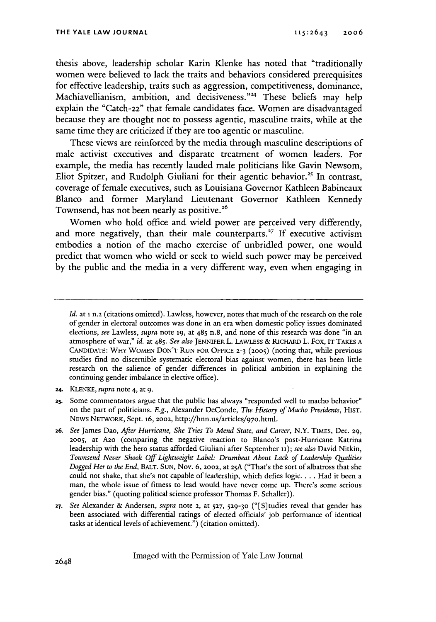thesis above, leadership scholar Karin Klenke has noted that "traditionally women were believed to lack the traits and behaviors considered prerequisites for effective leadership, traits such as aggression, competitiveness, dominance, Machiavellianism, ambition, and decisiveness."<sup>24</sup> These beliefs may help explain the "Catch-22" that female candidates face. Women are disadvantaged because they are thought not to possess agentic, masculine traits, while at the same time they are criticized if they are too agentic or masculine.

These views are reinforced by the media through masculine descriptions of male activist executives and disparate treatment of women leaders. For example, the media has recently lauded male politicians like Gavin Newsom, Eliot Spitzer, and Rudolph Giuliani for their agentic behavior.<sup>25</sup> In contrast, coverage of female executives, such as Louisiana Governor Kathleen Babineaux Blanco and former Maryland Lieutenant Governor Kathleen Kennedy Townsend, has not been nearly as positive.<sup>26</sup>

Women who hold office and wield power are perceived very differently, and more negatively, than their male counterparts.<sup>27</sup> If executive activism embodies a notion of the macho exercise of unbridled power, one would predict that women who wield or seek to wield such power may be perceived by the public and the media in a very different way, even when engaging in

- *24.* KLENKE, *supra* note 4, at **9.**
- **25.** Some commentators argue that the public has always "responded well to macho behavior" on the part of politicians. *E.g.,* Alexander DeConde, *The History of Macho Presidents,* **HIST.** NEWS NETWORK, Sept. **16,** 2002, http://hnn.us/articles/97o.html.
- **26.** *See* James Dao, *After Hurricane, She Tries To Mend State, and Career,* N.Y. TIMES, Dec. **29, 2005,** at A2o (comparing the negative reaction to Blanco's post-Hurricane Katrina leadership with the hero status afforded Giuliani after September **ii);** *see also* David Nitkin, *Townsend Never Shook Off Lightweight Label: Drumbeat About Lack of Leadership Qualities Dogged Her to the End,* BALT. **SUN,** Nov. 6, 2002, at *25A* ("That's the sort of albatross that she could not shake, that she's not capable of leadership, which defies logic.... Had it been a man, the whole issue of fitness to lead would have never come up. There's some serious gender bias." (quoting political science professor Thomas F. Schaller)).
- **27.** *See* Alexander & Andersen, *supra* note 2, at **527, 529-30** ("[S]tudies reveal that gender has been associated with differential ratings of elected officials' job performance of identical tasks at identical levels of achievement.") (citation omitted).

*Id.* at 1 n.2 (citations omitted). Lawless, however, notes that much of the research on the role of gender in electoral outcomes was done in an era when domestic policy issues dominated elections, *see* Lawless, *supra* note **19,** at *485* n.8, and none of this research was done "in an atmosphere of war," *id.* at *485. See also* **JENNIFER** L. LAWLESS & **RICHARD** L. Fox, IT TAKES **<sup>A</sup>** CANDIDATE: WHY WOMEN **DON'T RUN** FOR OFFICE **2-3 (2005)** (noting that, while previous studies find no discernible systematic electoral bias against women, there has been little research on the salience of gender differences in political ambition in explaining the continuing gender imbalance in elective office).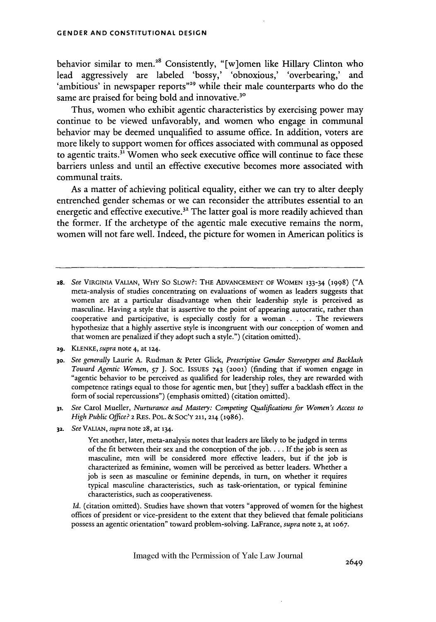behavior similar to men.<sup>28</sup> Consistently, "[w]omen like Hillary Clinton who lead aggressively are labeled 'bossy,' 'obnoxious,' 'overbearing,' and 'ambitious' in newspaper reports"<sup>29</sup> while their male counterparts who do the same are praised for being bold and innovative.<sup>30</sup>

Thus, women who exhibit agentic characteristics by exercising power may continue to be viewed unfavorably, and women who engage in communal behavior may be deemed unqualified to assume office. In addition, voters are more likely to support women for offices associated with communal as opposed to agentic traits.<sup>31</sup> Women who seek executive office will continue to face these barriers unless and until an effective executive becomes more associated with communal traits.

As a matter of achieving political equality, either we can try to alter deeply entrenched gender schemas or we can reconsider the attributes essential to an energetic and effective executive.<sup>32</sup> The latter goal is more readily achieved than the former. If the archetype of the agentic male executive remains the norm, women will not fare well. Indeed, the picture for women in American politics is

- *,8. See* VIRGINIA VALIAN, WHY SO SLOW?: THE ADVANCEMENT OF WOMEN 133-34 (1998) ("A meta-analysis of studies concentrating on evaluations of women as leaders suggests that women are at a particular disadvantage when their leadership style is perceived as masculine. Having a style that is assertive to the point of appearing autocratic, rather than cooperative and participative, is especially costly for a woman **....** The reviewers hypothesize that a highly assertive style is incongruent with our conception of women and that women are penalized if they adopt such a style.") (citation omitted).
- **29.** KLENKE, *supra* note 4, at 124.
- **30.** *See generally* Laurie A. Rudman & Peter Glick, *Prescriptive Gender Stereotypes and Backlash Toward Agentic Women,* **57 J.** Soc. **ISSUES** 743 (2OOl) (finding that if women engage in "agentic behavior to be perceived as qualified for leadership roles, they are rewarded with competence ratings equal to those for agentic men, but [they] suffer a backlash effect in the form of social repercussions") (emphasis omitted) (citation omitted).
- **31.** *See* Carol Mueller, *Nurturance and Mastery: Competing Qualifications for Women's Access to High Public Office?* 2 RES. POL. & SOC'Y **211, 214** (1986).
- **32.** *See VALuAN, supra* note **28,** at 134.

Yet another, later, meta-analysis notes that leaders are likely to be judged in terms of the fit between their sex and the conception of the job.... If the job is seen as masculine, men will be considered more effective leaders, but if the **job** is characterized as feminine, women will be perceived as better leaders. Whether a job is seen as masculine or feminine depends, in turn, on whether it requires typical masculine characteristics, such as task-orientation, or typical feminine characteristics, such as cooperativeness.

Id. (citation omitted). Studies have shown that voters "approved of women for the highest offices of president or vice-president to the extent that they believed that female politicians possess an agentic orientation" toward problem-solving. LaFrance, *supra* note 2, at lo67.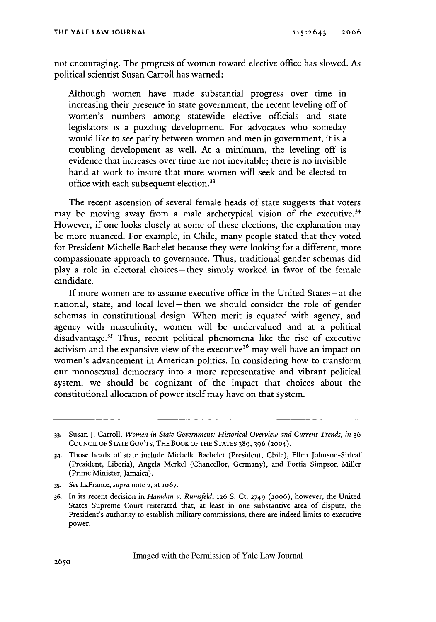not encouraging. The progress of women toward elective office has slowed. As political scientist Susan Carroll has warned:

Although women have made substantial progress over time in increasing their presence in state government, the recent leveling off of women's numbers among statewide elective officials and state legislators is a puzzling development. For advocates who someday would like to see parity between women and men in government, it is a troubling development as well. At a minimum, the leveling off is evidence that increases over time are not inevitable; there is no invisible hand at work to insure that more women will seek and be elected to office with each subsequent election.<sup>33</sup>

The recent ascension of several female heads of state suggests that voters may be moving away from a male archetypical vision of the executive.<sup>34</sup> However, if one looks closely at some of these elections, the explanation may be more nuanced. For example, in Chile, many people stated that they voted for President Michelle Bachelet because they were looking for a different, more compassionate approach to governance. Thus, traditional gender schemas did play a role in electoral choices-they simply worked in favor of the female candidate.

If more women are to assume executive office in the United States **-at** the national, state, and local level-then we should consider the role of gender schemas in constitutional design. When merit is equated with agency, and agency with masculinity, women will be undervalued and at a political disadvantage.<sup>35</sup> Thus, recent political phenomena like the rise of executive activism and the expansive view of the executive<sup>36</sup> may well have an impact on women's advancement in American politics. In considering how to transform our monosexual democracy into a more representative and vibrant political system, we should be cognizant of the impact that choices about the constitutional allocation of power itself may have on that system.

- **35.** *See* LaFrance, *supra* note **2,** at lo67.
- **36.** In its recent decision in *Hamdan v. Rumsfeld,* **126 S.** Ct. 2749 (20o6), however, the United States Supreme Court reiterated that, at least in one substantive area of dispute, the President's authority to establish military commissions, there are indeed limits to executive power.

**<sup>33.</sup>** Susan **J.** Carroll, *Women in State Government: Historical Overview and Current Trends, in* 36 **COUNCIL** OF **STATE GOV'TS,** THE BOOK OF **THE STATES** 389, 396 (2004).

<sup>34.</sup> Those heads of state include Michelle Bachelet (President, Chile), Ellen Johnson-Sirleaf (President, Liberia), Angela Merkel (Chancellor, Germany), and Portia Simpson Miller (Prime Minister, Jamaica).